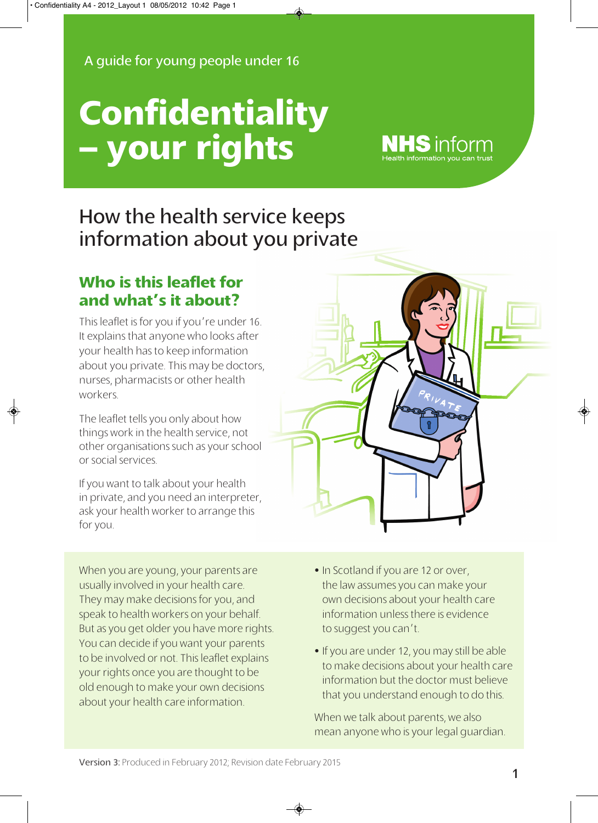# **Confidentiality – your rights**

## How the health service keeps information about you private

#### **Who is this leaflet for and what's it about?**

This leaflet is for you if you're under 16. It explains that anyone who looks after your health has to keep information about you private. This may be doctors, nurses, pharmacists or other health workers.

The leaflet tells you only about how things work in the health service, not other organisations such as your school or social services.

If you want to talk about your health in private, and you need an interpreter, ask your health worker to arrange this for you.

When you are young, your parents are usually involved in your health care. They may make decisions for you, and speak to health workers on your behalf. But as you get older you have more rights. You can decide if you want your parents to be involved or not. This leaflet explains your rights once you are thought to be old enough to make your own decisions about your health care information.



- **•** In Scotland if you are 12 or over, the law assumes you can make your own decisions about your health care information unless there is evidence to suggest you can't.
- **•** If you are under 12, you may still be able to make decisions about your health care information but the doctor must believe that you understand enough to do this.

When we talk about parents, we also mean anyone who is your legal guardian.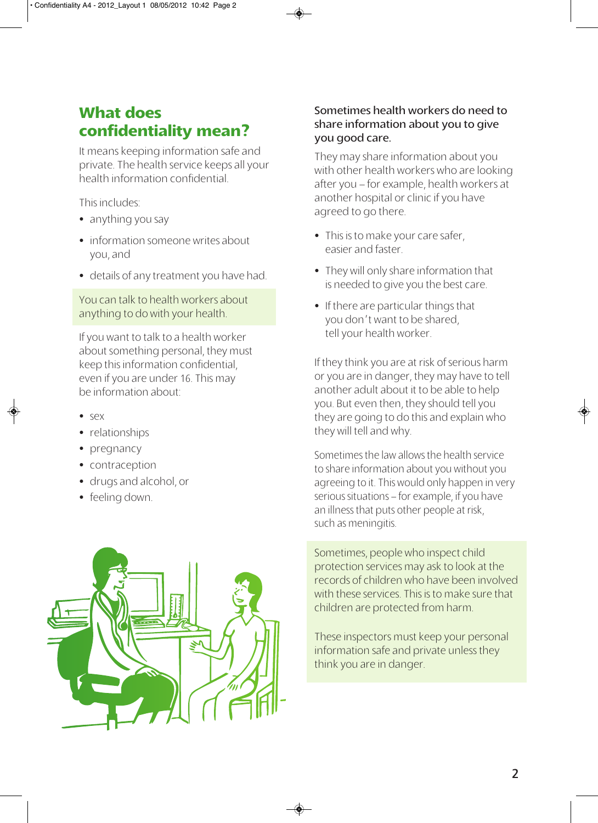### **What does confidentiality mean?**

It means keeping information safe and private. The health service keeps all your health information confidential.

This includes:

- **•** anything you say
- **•** information someone writes about you, and
- **•** details of any treatment you have had.

You can talk to health workers about anything to do with your health.

If you want to talk to a health worker about something personal, they must keep this information confidential, even if you are under 16. This may be information about:

- **•** sex
- **•** relationships
- **•** pregnancy
- **•** contraception
- **•** drugs and alcohol, or
- **•** feeling down.



#### Sometimes health workers do need to share information about you to give you good care.

They may share information about you with other health workers who are looking after you – for example, health workers at another hospital or clinic if you have agreed to go there.

- **•** This is to make your care safer, easier and faster.
- **•** They will only share information that is needed to give you the best care.
- **•** If there are particular things that you don't want to be shared, tell your health worker.

If they think you are at risk of serious harm or you are in danger, they may have to tell another adult about it to be able to help you. But even then, they should tell you they are going to do this and explain who they will tell and why.

Sometimes the law allows the health service to share information about you without you agreeing to it. This would only happen in very serious situations – for example, if you have an illness that puts other people at risk, such as meningitis.

Sometimes, people who inspect child protection services may ask to look at the records of children who have been involved with these services. This is to make sure that children are protected from harm.

These inspectors must keep your personal information safe and private unless they think you are in danger.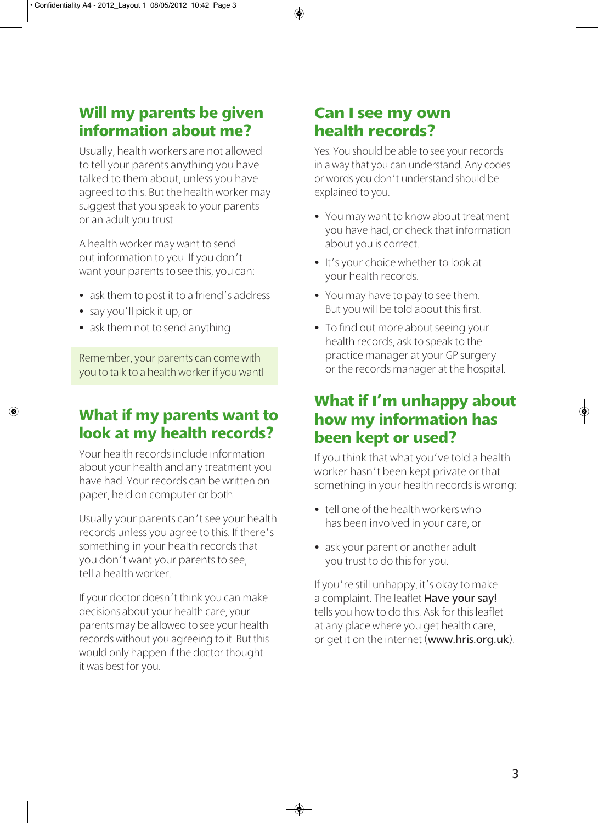#### **Will my parents be given information about me?**

Usually, health workers are not allowed to tell your parents anything you have talked to them about, unless you have agreed to this. But the health worker may suggest that you speak to your parents or an adult you trust.

A health worker may want to send out information to you. If you don't want your parents to see this, you can:

- **•** ask them to post it to a friend's address
- **•** say you'll pick it up, or
- **•** ask them not to send anything.

Remember, your parents can come with you to talk to a health worker if you want!

#### **What if my parents want to look at my health records?**

Your health records include information about your health and any treatment you have had. Your records can be written on paper, held on computer or both.

Usually your parents can't see your health records unless you agree to this. If there's something in your health records that you don't want your parents to see, tell a health worker.

If your doctor doesn't think you can make decisions about your health care, your parents may be allowed to see your health records without you agreeing to it. But this would only happen if the doctor thought it was best for you.

#### **Can I see my own health records?**

Yes. You should be able to see your records in a way that you can understand. Any codes or words you don't understand should be explained to you.

- **•** You may want to know about treatment you have had, or check that information about you is correct.
- **•** It's your choice whether to look at your health records.
- **•** You may have to pay to see them. But you will be told about this first.
- **•** To find out more about seeing your health records, ask to speak to the practice manager at your GP surgery or the records manager at the hospital.

#### **What if I'm unhappy about how my information has been kept or used?**

If you think that what you've told a health worker hasn't been kept private or that something in your health records is wrong:

- **•** tell one of the health workers who has been involved in your care, or
- **•** ask your parent or another adult you trust to do this for you.

If you're still unhappy, it's okay to make a complaint. The leaflet **Have your say!** tells you how to do this. Ask for this leaflet at any place where you get health care, or get it on the internet (www.hris.org.uk).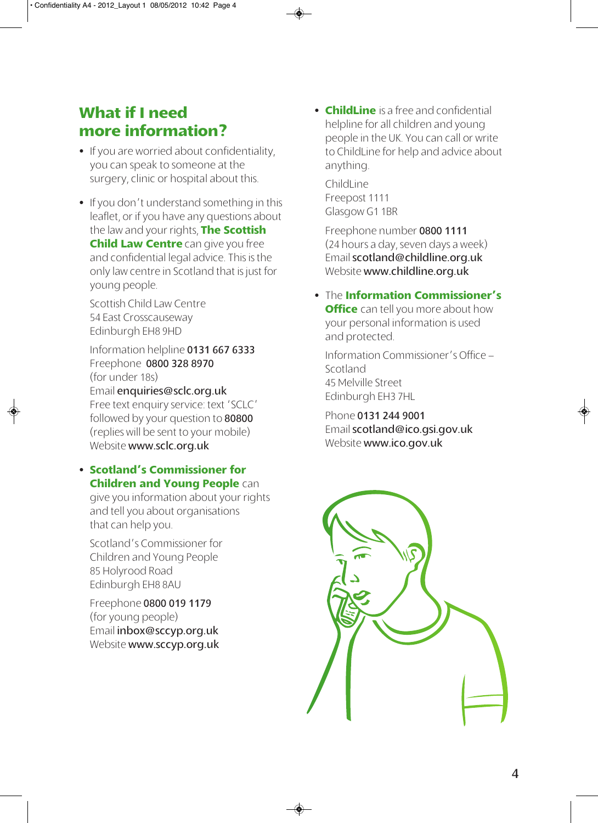### **What if I need more information?**

- **•** If you are worried about confidentiality, you can speak to someone at the surgery, clinic or hospital about this.
- **•** If you don't understand something in this leaflet, or if you have any questions about the law and your rights, **The Scottish Child Law Centre** can give you free and confidential legal advice. This is the only law centre in Scotland that is just for young people.

Scottish Child Law Centre 54 East Crosscauseway Edinburgh EH8 9HD

Information helpline 0131 667 6333 Freephone 0800 328 8970 (for under 18s) Email enquiries@sclc.org.uk Free text enquiry service: text 'SCLC'

followed by your question to 80800 (replies will be sent to your mobile) Website www.sclc.org.uk

**• Scotland's Commissioner for Children and Young People** can

give you information about your rights and tell you about organisations that can help you.

Scotland's Commissioner for Children and Young People 85 Holyrood Road Edinburgh EH8 8AU

Freephone 0800 019 1179 (for young people) Email inbox@sccyp.org.uk Website www.sccyp.org.uk **• ChildLine** is a free and confidential helpline for all children and young people in the UK. You can call or write to ChildLine for help and advice about anything.

ChildLine Freepost 1111 Glasgow G1 1BR

Freephone number 0800 1111 (24 hours a day, seven days a week) Email scotland@childline.org.uk Website www.childline.org.uk

#### **•** The **Information Commissioner's**

**Office** can tell you more about how your personal information is used and protected.

Information Commissioner's Office – Scotland 45 Melville Street Edinburgh EH3 7HL

Phone 0131 244 9001 Emailscotland@ico.gsi.gov.uk Website www.ico.gov.uk